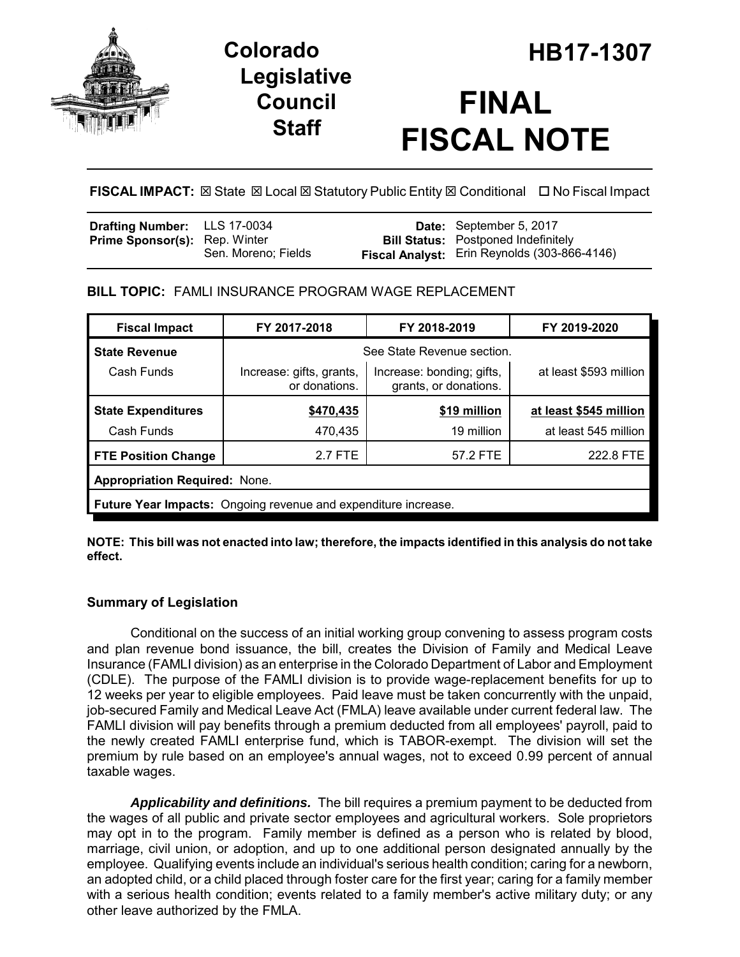

## **Legislative Council Staff**

# **FINAL FISCAL NOTE**

**FISCAL IMPACT:**  State Local Statutory Public Entity Conditional No Fiscal Impact

| <b>Drafting Number:</b> LLS 17-0034  |                     | <b>Date:</b> September 5, 2017                      |
|--------------------------------------|---------------------|-----------------------------------------------------|
| <b>Prime Sponsor(s): Rep. Winter</b> |                     | <b>Bill Status:</b> Postponed Indefinitely          |
|                                      | Sen. Moreno: Fields | <b>Fiscal Analyst:</b> Erin Reynolds (303-866-4146) |

## **BILL TOPIC:** FAMLI INSURANCE PROGRAM WAGE REPLACEMENT

| <b>Fiscal Impact</b>                                           | FY 2017-2018                              | FY 2018-2019                                       |                        |  |  |
|----------------------------------------------------------------|-------------------------------------------|----------------------------------------------------|------------------------|--|--|
| <b>State Revenue</b>                                           | See State Revenue section.                |                                                    |                        |  |  |
| Cash Funds                                                     | Increase: gifts, grants,<br>or donations. | Increase: bonding; gifts,<br>grants, or donations. | at least \$593 million |  |  |
| <b>State Expenditures</b>                                      | \$470,435                                 | \$19 million                                       | at least \$545 million |  |  |
| Cash Funds                                                     | 470,435                                   | 19 million                                         | at least 545 million   |  |  |
| <b>FTE Position Change</b>                                     | 2.7 FTE                                   | 57.2 FTE                                           | 222.8 FTE              |  |  |
| <b>Appropriation Required: None.</b>                           |                                           |                                                    |                        |  |  |
| Future Year Impacts: Ongoing revenue and expenditure increase. |                                           |                                                    |                        |  |  |

**NOTE: This bill was not enacted into law; therefore, the impacts identified in this analysis do not take effect.**

### **Summary of Legislation**

Conditional on the success of an initial working group convening to assess program costs and plan revenue bond issuance, the bill, creates the Division of Family and Medical Leave Insurance (FAMLI division) as an enterprise in the Colorado Department of Labor and Employment (CDLE). The purpose of the FAMLI division is to provide wage-replacement benefits for up to 12 weeks per year to eligible employees. Paid leave must be taken concurrently with the unpaid, job-secured Family and Medical Leave Act (FMLA) leave available under current federal law. The FAMLI division will pay benefits through a premium deducted from all employees' payroll, paid to the newly created FAMLI enterprise fund, which is TABOR-exempt. The division will set the premium by rule based on an employee's annual wages, not to exceed 0.99 percent of annual taxable wages.

*Applicability and definitions.* The bill requires a premium payment to be deducted from the wages of all public and private sector employees and agricultural workers. Sole proprietors may opt in to the program. Family member is defined as a person who is related by blood, marriage, civil union, or adoption, and up to one additional person designated annually by the employee. Qualifying events include an individual's serious health condition; caring for a newborn, an adopted child, or a child placed through foster care for the first year; caring for a family member with a serious health condition; events related to a family member's active military duty; or any other leave authorized by the FMLA.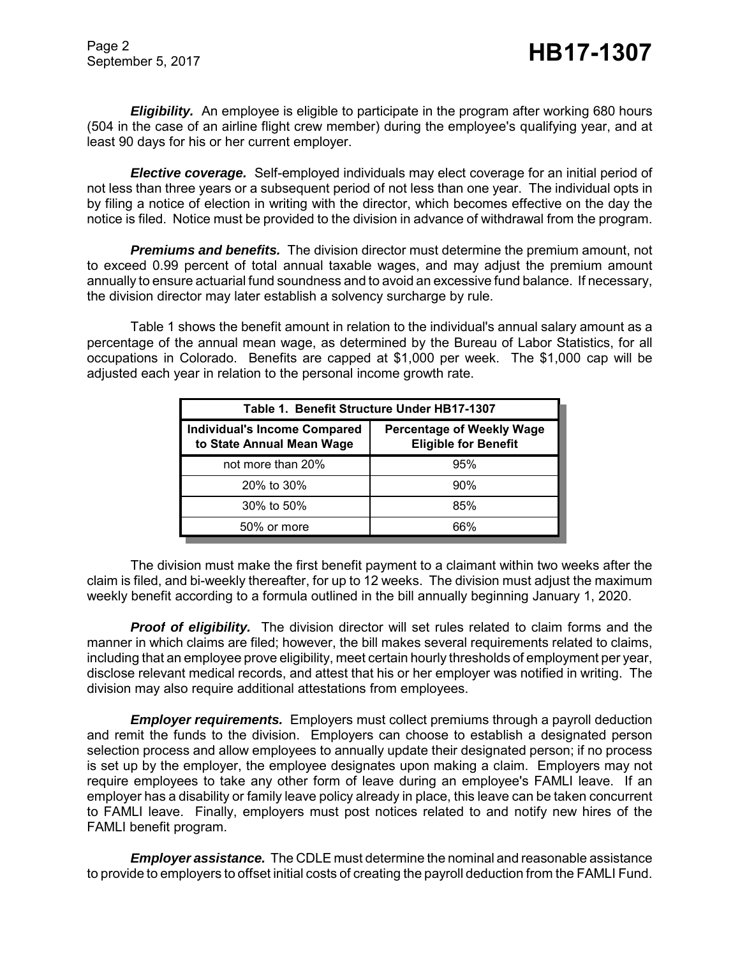Page 2

*Eligibility.* An employee is eligible to participate in the program after working 680 hours (504 in the case of an airline flight crew member) during the employee's qualifying year, and at least 90 days for his or her current employer.

*Elective coverage.* Self-employed individuals may elect coverage for an initial period of not less than three years or a subsequent period of not less than one year. The individual opts in by filing a notice of election in writing with the director, which becomes effective on the day the notice is filed. Notice must be provided to the division in advance of withdrawal from the program.

*Premiums and benefits.* The division director must determine the premium amount, not to exceed 0.99 percent of total annual taxable wages, and may adjust the premium amount annually to ensure actuarial fund soundness and to avoid an excessive fund balance. If necessary, the division director may later establish a solvency surcharge by rule.

Table 1 shows the benefit amount in relation to the individual's annual salary amount as a percentage of the annual mean wage, as determined by the Bureau of Labor Statistics, for all occupations in Colorado. Benefits are capped at \$1,000 per week. The \$1,000 cap will be adjusted each year in relation to the personal income growth rate.

| Table 1. Benefit Structure Under HB17-1307                       |                                                                 |  |  |  |
|------------------------------------------------------------------|-----------------------------------------------------------------|--|--|--|
| <b>Individual's Income Compared</b><br>to State Annual Mean Wage | <b>Percentage of Weekly Wage</b><br><b>Eligible for Benefit</b> |  |  |  |
| not more than 20%                                                | 95%                                                             |  |  |  |
| 20% to 30%                                                       | 90%                                                             |  |  |  |
| 30% to 50%                                                       | 85%                                                             |  |  |  |
| 50% or more                                                      | ሐና%                                                             |  |  |  |

The division must make the first benefit payment to a claimant within two weeks after the claim is filed, and bi-weekly thereafter, for up to 12 weeks. The division must adjust the maximum weekly benefit according to a formula outlined in the bill annually beginning January 1, 2020.

*Proof of eligibility.* The division director will set rules related to claim forms and the manner in which claims are filed; however, the bill makes several requirements related to claims, including that an employee prove eligibility, meet certain hourly thresholds of employment per year, disclose relevant medical records, and attest that his or her employer was notified in writing. The division may also require additional attestations from employees.

*Employer requirements.* Employers must collect premiums through a payroll deduction and remit the funds to the division. Employers can choose to establish a designated person selection process and allow employees to annually update their designated person; if no process is set up by the employer, the employee designates upon making a claim. Employers may not require employees to take any other form of leave during an employee's FAMLI leave. If an employer has a disability or family leave policy already in place, this leave can be taken concurrent to FAMLI leave. Finally, employers must post notices related to and notify new hires of the FAMLI benefit program.

*Employer assistance.* The CDLE must determine the nominal and reasonable assistance to provide to employers to offset initial costs of creating the payroll deduction from the FAMLI Fund.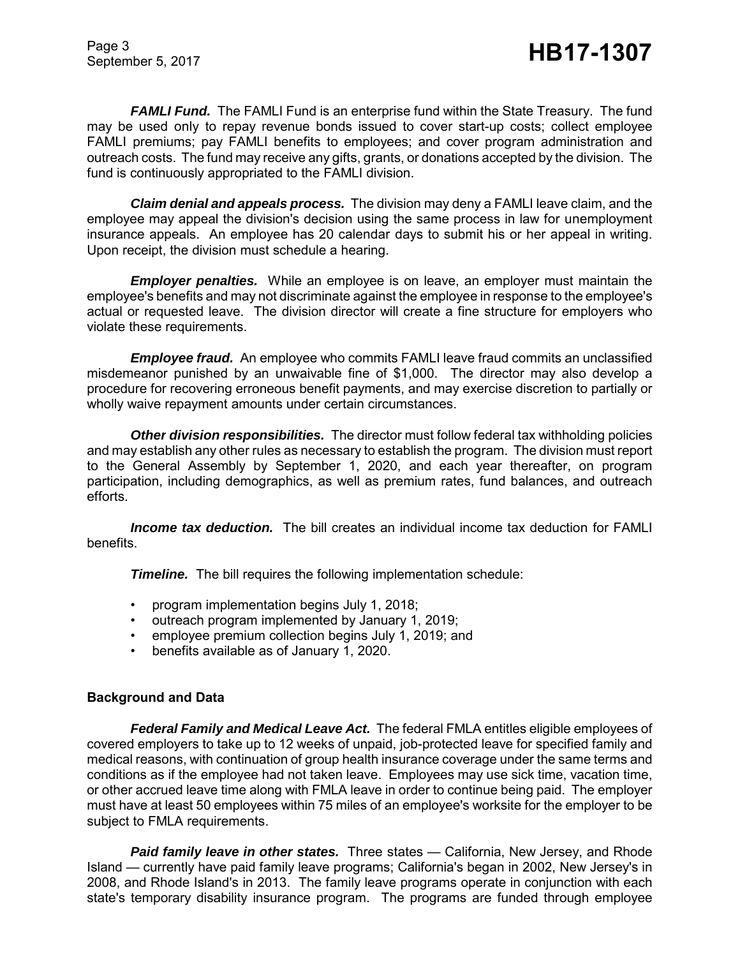Page 3

*FAMLI Fund.* The FAMLI Fund is an enterprise fund within the State Treasury. The fund may be used only to repay revenue bonds issued to cover start-up costs; collect employee FAMLI premiums; pay FAMLI benefits to employees; and cover program administration and outreach costs. The fund may receive any gifts, grants, or donations accepted by the division. The fund is continuously appropriated to the FAMLI division.

*Claim denial and appeals process.* The division may deny a FAMLI leave claim, and the employee may appeal the division's decision using the same process in law for unemployment insurance appeals. An employee has 20 calendar days to submit his or her appeal in writing. Upon receipt, the division must schedule a hearing.

*Employer penalties.* While an employee is on leave, an employer must maintain the employee's benefits and may not discriminate against the employee in response to the employee's actual or requested leave. The division director will create a fine structure for employers who violate these requirements.

*Employee fraud.* An employee who commits FAMLI leave fraud commits an unclassified misdemeanor punished by an unwaivable fine of \$1,000. The director may also develop a procedure for recovering erroneous benefit payments, and may exercise discretion to partially or wholly waive repayment amounts under certain circumstances.

*Other division responsibilities.* The director must follow federal tax withholding policies and may establish any other rules as necessary to establish the program. The division must report to the General Assembly by September 1, 2020, and each year thereafter, on program participation, including demographics, as well as premium rates, fund balances, and outreach efforts.

*Income tax deduction.* The bill creates an individual income tax deduction for FAMLI benefits.

**Timeline.** The bill requires the following implementation schedule:

- program implementation begins July 1, 2018;
- outreach program implemented by January 1, 2019;
- employee premium collection begins July 1, 2019; and
- benefits available as of January 1, 2020.

#### **Background and Data**

*Federal Family and Medical Leave Act.* The federal FMLA entitles eligible employees of covered employers to take up to 12 weeks of unpaid, job-protected leave for specified family and medical reasons, with continuation of group health insurance coverage under the same terms and conditions as if the employee had not taken leave. Employees may use sick time, vacation time, or other accrued leave time along with FMLA leave in order to continue being paid. The employer must have at least 50 employees within 75 miles of an employee's worksite for the employer to be subject to FMLA requirements.

*Paid family leave in other states.* Three states — California, New Jersey, and Rhode Island — currently have paid family leave programs; California's began in 2002, New Jersey's in 2008, and Rhode Island's in 2013. The family leave programs operate in conjunction with each state's temporary disability insurance program. The programs are funded through employee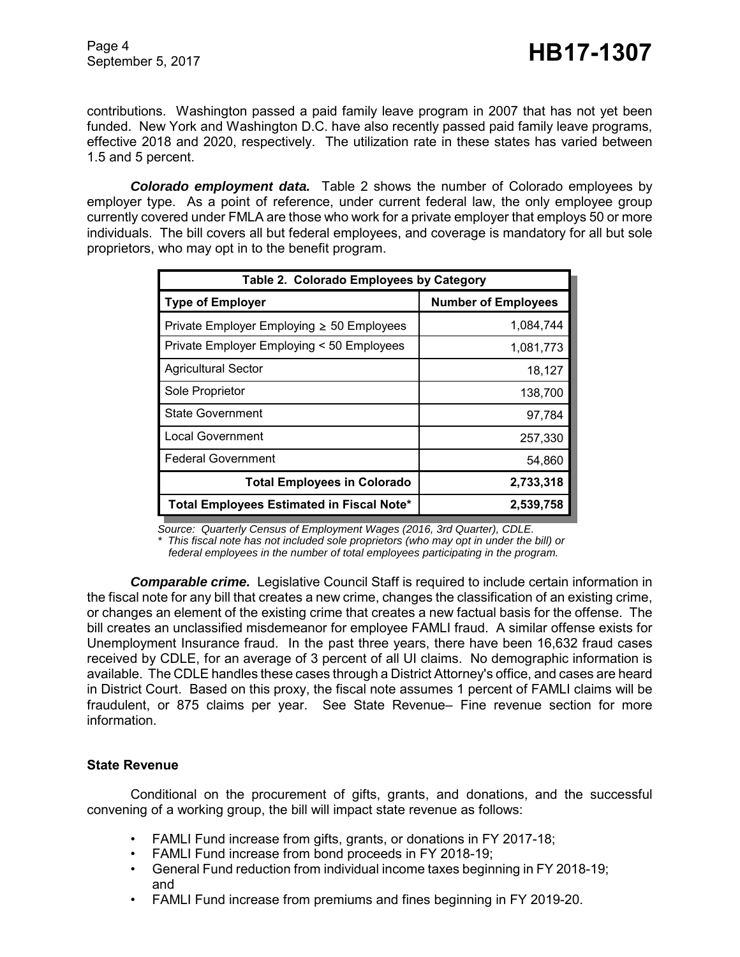Page 4

contributions. Washington passed a paid family leave program in 2007 that has not yet been funded. New York and Washington D.C. have also recently passed paid family leave programs, effective 2018 and 2020, respectively. The utilization rate in these states has varied between 1.5 and 5 percent.

*Colorado employment data.* Table 2 shows the number of Colorado employees by employer type. As a point of reference, under current federal law, the only employee group currently covered under FMLA are those who work for a private employer that employs 50 or more individuals. The bill covers all but federal employees, and coverage is mandatory for all but sole proprietors, who may opt in to the benefit program.

| Table 2. Colorado Employees by Category        |                            |  |  |  |
|------------------------------------------------|----------------------------|--|--|--|
| <b>Type of Employer</b>                        | <b>Number of Employees</b> |  |  |  |
| Private Employer Employing $\geq$ 50 Employees | 1,084,744                  |  |  |  |
| Private Employer Employing < 50 Employees      | 1,081,773                  |  |  |  |
| <b>Agricultural Sector</b>                     | 18,127                     |  |  |  |
| Sole Proprietor                                | 138,700                    |  |  |  |
| <b>State Government</b>                        | 97,784                     |  |  |  |
| <b>Local Government</b>                        | 257,330                    |  |  |  |
| <b>Federal Government</b>                      | 54,860                     |  |  |  |
| <b>Total Employees in Colorado</b>             | 2,733,318                  |  |  |  |
| Total Employees Estimated in Fiscal Note*      | 2,539,758                  |  |  |  |

*Source: Quarterly Census of Employment Wages (2016, 3rd Quarter), CDLE.*

*\* This fiscal note has not included sole proprietors (who may opt in under the bill) or*

 *federal employees in the number of total employees participating in the program.*

*Comparable crime.*Legislative Council Staff is required to include certain information in the fiscal note for any bill that creates a new crime, changes the classification of an existing crime, or changes an element of the existing crime that creates a new factual basis for the offense. The bill creates an unclassified misdemeanor for employee FAMLI fraud. A similar offense exists for Unemployment Insurance fraud. In the past three years, there have been 16,632 fraud cases received by CDLE, for an average of 3 percent of all UI claims. No demographic information is available. The CDLE handles these cases through a District Attorney's office, and cases are heard in District Court. Based on this proxy, the fiscal note assumes 1 percent of FAMLI claims will be fraudulent, or 875 claims per year. See State Revenue– Fine revenue section for more information.

#### **State Revenue**

Conditional on the procurement of gifts, grants, and donations, and the successful convening of a working group, the bill will impact state revenue as follows:

- FAMLI Fund increase from gifts, grants, or donations in FY 2017-18;
- FAMLI Fund increase from bond proceeds in FY 2018-19;
- General Fund reduction from individual income taxes beginning in FY 2018-19; and
- FAMLI Fund increase from premiums and fines beginning in FY 2019-20.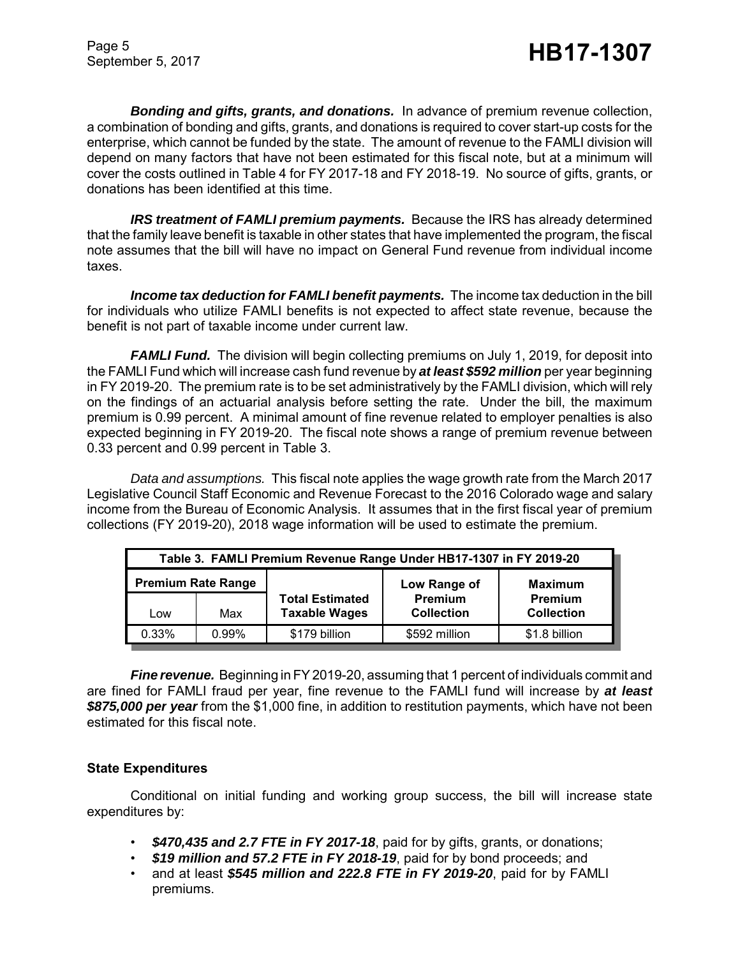*Bonding and gifts, grants, and donations.* In advance of premium revenue collection, a combination of bonding and gifts, grants, and donations is required to cover start-up costs for the enterprise, which cannot be funded by the state. The amount of revenue to the FAMLI division will depend on many factors that have not been estimated for this fiscal note, but at a minimum will cover the costs outlined in Table 4 for FY 2017-18 and FY 2018-19. No source of gifts, grants, or donations has been identified at this time.

*IRS treatment of FAMLI premium payments.* Because the IRS has already determined that the family leave benefit is taxable in other states that have implemented the program, the fiscal note assumes that the bill will have no impact on General Fund revenue from individual income taxes.

*Income tax deduction for FAMLI benefit payments.* The income tax deduction in the bill for individuals who utilize FAMLI benefits is not expected to affect state revenue, because the benefit is not part of taxable income under current law.

*FAMLI* Fund. The division will begin collecting premiums on July 1, 2019, for deposit into the FAMLI Fund which will increase cash fund revenue by *at least \$592 million* per year beginning in FY 2019-20. The premium rate is to be set administratively by the FAMLI division, which will rely on the findings of an actuarial analysis before setting the rate. Under the bill, the maximum premium is 0.99 percent. A minimal amount of fine revenue related to employer penalties is also expected beginning in FY 2019-20. The fiscal note shows a range of premium revenue between 0.33 percent and 0.99 percent in Table 3.

*Data and assumptions.* This fiscal note applies the wage growth rate from the March 2017 Legislative Council Staff Economic and Revenue Forecast to the 2016 Colorado wage and salary income from the Bureau of Economic Analysis. It assumes that in the first fiscal year of premium collections (FY 2019-20), 2018 wage information will be used to estimate the premium.

| Table 3. FAMLI Premium Revenue Range Under HB17-1307 in FY 2019-20 |          |                                                |                              |                                     |  |  |
|--------------------------------------------------------------------|----------|------------------------------------------------|------------------------------|-------------------------------------|--|--|
| <b>Premium Rate Range</b>                                          |          |                                                | Low Range of                 | <b>Maximum</b>                      |  |  |
| Low                                                                | Max      | <b>Total Estimated</b><br><b>Taxable Wages</b> | Premium<br><b>Collection</b> | <b>Premium</b><br><b>Collection</b> |  |  |
| 0.33%                                                              | $0.99\%$ | \$179 billion                                  | \$592 million                | \$1.8 billion                       |  |  |

**Fine revenue.** Beginning in FY 2019-20, assuming that 1 percent of individuals commit and are fined for FAMLI fraud per year, fine revenue to the FAMLI fund will increase by *at least \$875,000 per year* from the \$1,000 fine, in addition to restitution payments, which have not been estimated for this fiscal note.

#### **State Expenditures**

Conditional on initial funding and working group success, the bill will increase state expenditures by:

- *\$470,435 and 2.7 FTE in FY 2017-18*, paid for by gifts, grants, or donations;
- *\$19 million and 57.2 FTE in FY 2018-19*, paid for by bond proceeds; and
- and at least *\$545 million and 222.8 FTE in FY 2019-20*, paid for by FAMLI premiums.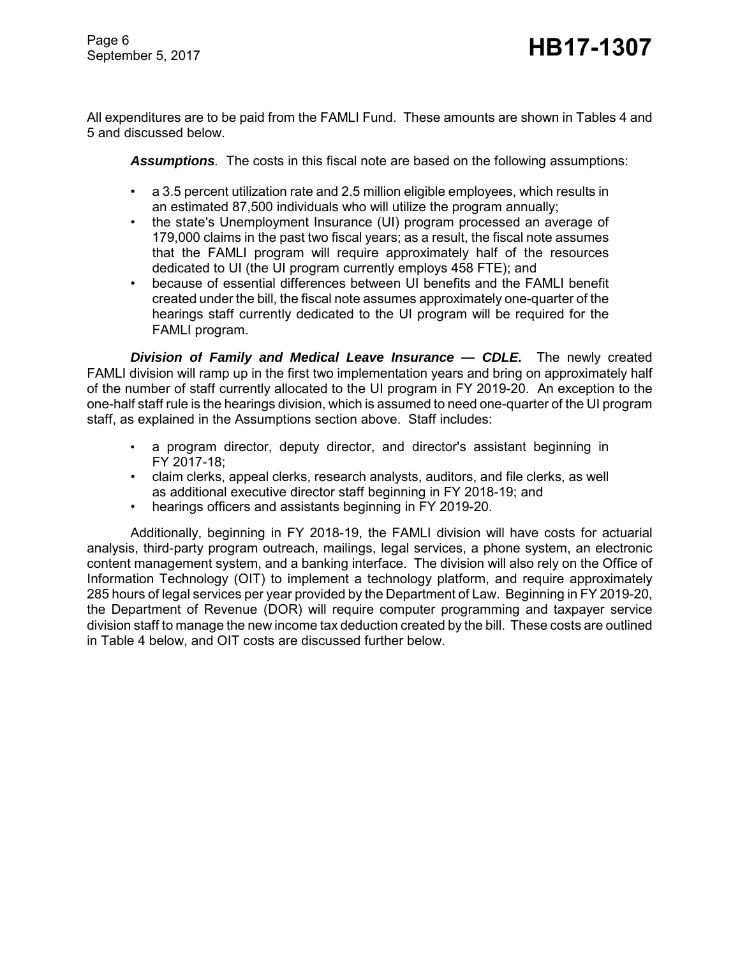All expenditures are to be paid from the FAMLI Fund. These amounts are shown in Tables 4 and 5 and discussed below.

*Assumptions.* The costs in this fiscal note are based on the following assumptions:

- a 3.5 percent utilization rate and 2.5 million eligible employees, which results in an estimated 87,500 individuals who will utilize the program annually;
- the state's Unemployment Insurance (UI) program processed an average of 179,000 claims in the past two fiscal years; as a result, the fiscal note assumes that the FAMLI program will require approximately half of the resources dedicated to UI (the UI program currently employs 458 FTE); and
- because of essential differences between UI benefits and the FAMLI benefit created under the bill, the fiscal note assumes approximately one-quarter of the hearings staff currently dedicated to the UI program will be required for the FAMLI program.

*Division of Family and Medical Leave Insurance — CDLE.* The newly created FAMLI division will ramp up in the first two implementation years and bring on approximately half of the number of staff currently allocated to the UI program in FY 2019-20. An exception to the one-half staff rule is the hearings division, which is assumed to need one-quarter of the UI program staff, as explained in the Assumptions section above. Staff includes:

- a program director, deputy director, and director's assistant beginning in FY 2017-18;
- claim clerks, appeal clerks, research analysts, auditors, and file clerks, as well as additional executive director staff beginning in FY 2018-19; and
- hearings officers and assistants beginning in FY 2019-20.

Additionally, beginning in FY 2018-19, the FAMLI division will have costs for actuarial analysis, third-party program outreach, mailings, legal services, a phone system, an electronic content management system, and a banking interface. The division will also rely on the Office of Information Technology (OIT) to implement a technology platform, and require approximately 285 hours of legal services per year provided by the Department of Law. Beginning in FY 2019-20, the Department of Revenue (DOR) will require computer programming and taxpayer service division staff to manage the new income tax deduction created by the bill. These costs are outlined in Table 4 below, and OIT costs are discussed further below.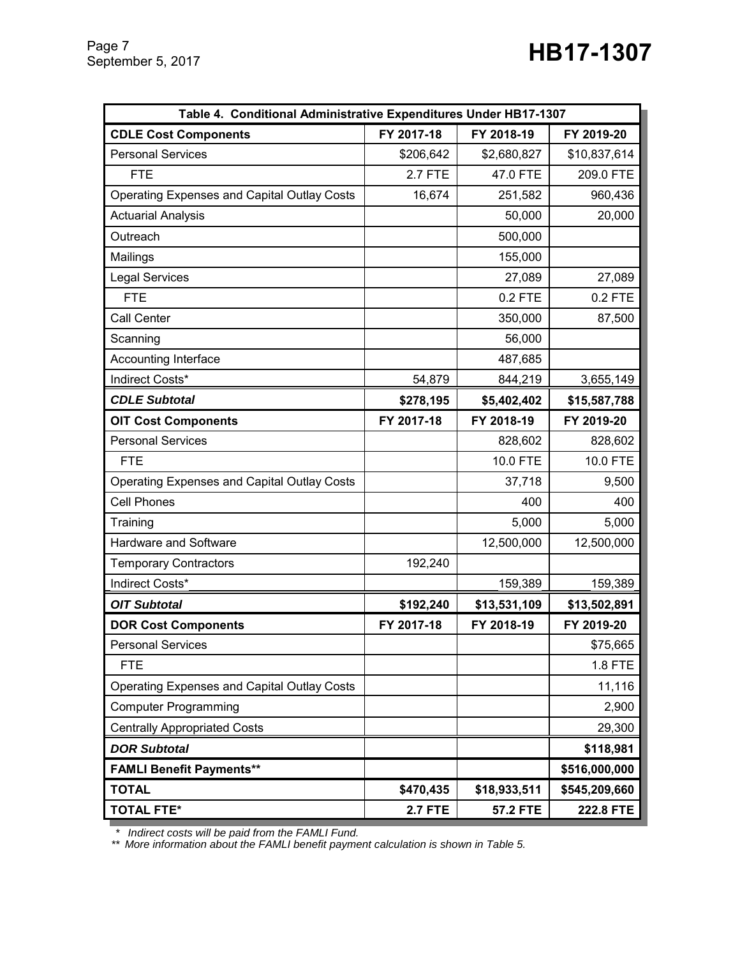| Table 4. Conditional Administrative Expenditures Under HB17-1307 |                |              |               |  |  |
|------------------------------------------------------------------|----------------|--------------|---------------|--|--|
| <b>CDLE Cost Components</b>                                      | FY 2017-18     | FY 2018-19   | FY 2019-20    |  |  |
| <b>Personal Services</b>                                         | \$206,642      | \$2,680,827  | \$10,837,614  |  |  |
| <b>FTE</b>                                                       | <b>2.7 FTE</b> | 47.0 FTE     | 209.0 FTE     |  |  |
| Operating Expenses and Capital Outlay Costs                      | 16,674         | 251,582      | 960,436       |  |  |
| <b>Actuarial Analysis</b>                                        |                | 50,000       | 20,000        |  |  |
| Outreach                                                         |                | 500,000      |               |  |  |
| Mailings                                                         |                | 155,000      |               |  |  |
| <b>Legal Services</b>                                            |                | 27,089       | 27,089        |  |  |
| <b>FTE</b>                                                       |                | $0.2$ FTE    | $0.2$ FTE     |  |  |
| Call Center                                                      |                | 350,000      | 87,500        |  |  |
| Scanning                                                         |                | 56,000       |               |  |  |
| Accounting Interface                                             |                | 487,685      |               |  |  |
| Indirect Costs*                                                  | 54,879         | 844,219      | 3,655,149     |  |  |
| <b>CDLE Subtotal</b>                                             | \$278,195      | \$5,402,402  | \$15,587,788  |  |  |
| <b>OIT Cost Components</b>                                       | FY 2017-18     | FY 2018-19   | FY 2019-20    |  |  |
| <b>Personal Services</b>                                         |                | 828,602      | 828,602       |  |  |
| <b>FTE</b>                                                       |                | 10.0 FTE     | 10.0 FTE      |  |  |
| <b>Operating Expenses and Capital Outlay Costs</b>               |                | 37,718       | 9,500         |  |  |
| Cell Phones                                                      |                | 400          | 400           |  |  |
| Training                                                         |                | 5,000        | 5,000         |  |  |
| Hardware and Software                                            |                | 12,500,000   | 12,500,000    |  |  |
| <b>Temporary Contractors</b>                                     | 192,240        |              |               |  |  |
| Indirect Costs*                                                  |                | 159,389      | 159,389       |  |  |
| <b>OIT Subtotal</b>                                              | \$192,240      | \$13,531,109 | \$13,502,891  |  |  |
| <b>DOR Cost Components</b>                                       | FY 2017-18     | FY 2018-19   | FY 2019-20    |  |  |
| <b>Personal Services</b>                                         |                |              | \$75,665      |  |  |
| <b>FTE</b>                                                       |                |              | 1.8 FTE       |  |  |
| Operating Expenses and Capital Outlay Costs                      |                |              | 11,116        |  |  |
| <b>Computer Programming</b>                                      |                |              | 2,900         |  |  |
| <b>Centrally Appropriated Costs</b>                              |                |              | 29,300        |  |  |
| <b>DOR Subtotal</b>                                              |                |              | \$118,981     |  |  |
| <b>FAMLI Benefit Payments**</b>                                  |                |              | \$516,000,000 |  |  |
| <b>TOTAL</b>                                                     | \$470,435      | \$18,933,511 | \$545,209,660 |  |  |
| <b>TOTAL FTE*</b>                                                | <b>2.7 FTE</b> | 57.2 FTE     | 222.8 FTE     |  |  |

 *\* Indirect costs will be paid from the FAMLI Fund.*

*\*\* More information about the FAMLI benefit payment calculation is shown in Table 5.*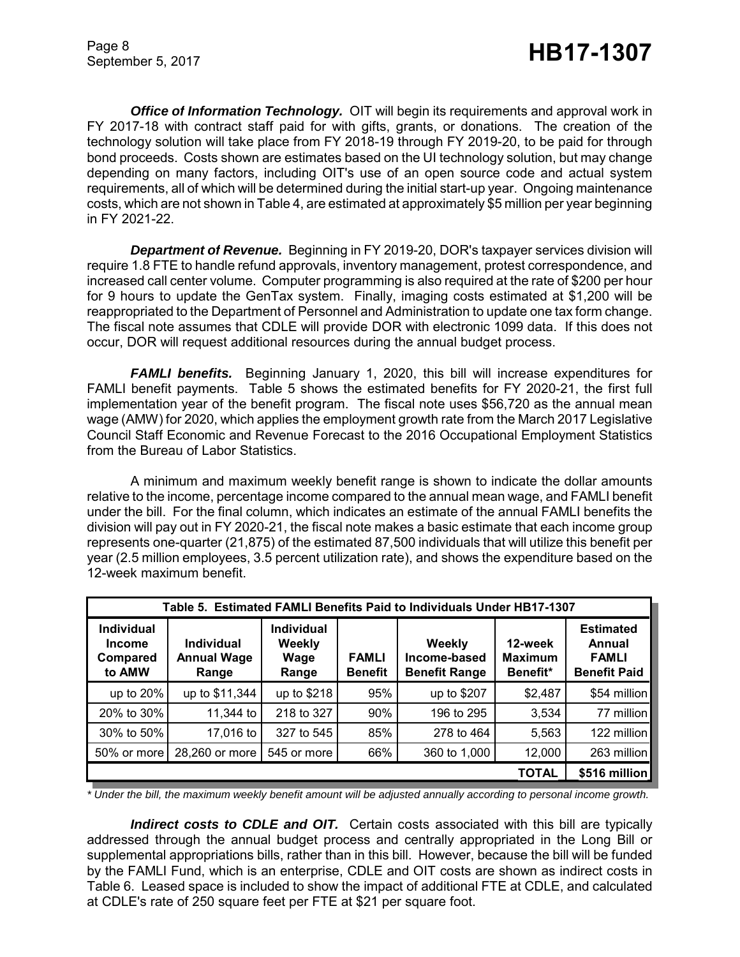*Office of Information Technology.* OIT will begin its requirements and approval work in FY 2017-18 with contract staff paid for with gifts, grants, or donations. The creation of the technology solution will take place from FY 2018-19 through FY 2019-20, to be paid for through bond proceeds. Costs shown are estimates based on the UI technology solution, but may change depending on many factors, including OIT's use of an open source code and actual system requirements, all of which will be determined during the initial start-up year. Ongoing maintenance costs, which are not shown in Table 4, are estimated at approximately \$5 million per year beginning in FY 2021-22.

*Department of Revenue.* Beginning in FY 2019-20, DOR's taxpayer services division will require 1.8 FTE to handle refund approvals, inventory management, protest correspondence, and increased call center volume. Computer programming is also required at the rate of \$200 per hour for 9 hours to update the GenTax system. Finally, imaging costs estimated at \$1,200 will be reappropriated to the Department of Personnel and Administration to update one tax form change. The fiscal note assumes that CDLE will provide DOR with electronic 1099 data. If this does not occur, DOR will request additional resources during the annual budget process.

*FAMLI benefits.*Beginning January 1, 2020, this bill will increase expenditures for FAMLI benefit payments. Table 5 shows the estimated benefits for FY 2020-21, the first full implementation year of the benefit program. The fiscal note uses \$56,720 as the annual mean wage (AMW) for 2020, which applies the employment growth rate from the March 2017 Legislative Council Staff Economic and Revenue Forecast to the 2016 Occupational Employment Statistics from the Bureau of Labor Statistics.

A minimum and maximum weekly benefit range is shown to indicate the dollar amounts relative to the income, percentage income compared to the annual mean wage, and FAMLI benefit under the bill. For the final column, which indicates an estimate of the annual FAMLI benefits the division will pay out in FY 2020-21, the fiscal note makes a basic estimate that each income group represents one-quarter (21,875) of the estimated 87,500 individuals that will utilize this benefit per year (2.5 million employees, 3.5 percent utilization rate), and shows the expenditure based on the 12-week maximum benefit.

| Table 5. Estimated FAMLI Benefits Paid to Individuals Under HB17-1307 |                                                  |                                              |                                |                                                |                                       |                                                                   |
|-----------------------------------------------------------------------|--------------------------------------------------|----------------------------------------------|--------------------------------|------------------------------------------------|---------------------------------------|-------------------------------------------------------------------|
| <b>Individual</b><br><b>Income</b><br>Compared<br>to AMW              | <b>Individual</b><br><b>Annual Wage</b><br>Range | <b>Individual</b><br>Weekly<br>Wage<br>Range | <b>FAMLI</b><br><b>Benefit</b> | Weekly<br>Income-based<br><b>Benefit Range</b> | 12-week<br><b>Maximum</b><br>Benefit* | <b>Estimated</b><br>Annual<br><b>FAMLI</b><br><b>Benefit Paid</b> |
| up to 20%                                                             | up to \$11,344                                   | up to \$218                                  | 95%                            | up to \$207                                    | \$2,487                               | \$54 million                                                      |
| 20% to 30%                                                            | 11,344 to                                        | 218 to 327                                   | 90%                            | 196 to 295                                     | 3,534                                 | 77 million                                                        |
| 30% to 50%                                                            | 17,016 to                                        | 327 to 545                                   | 85%                            | 278 to 464                                     | 5,563                                 | 122 million                                                       |
| 50% or more                                                           | 28,260 or more                                   | 545 or more                                  | 66%                            | 360 to 1,000                                   | 12,000                                | 263 million                                                       |
|                                                                       | <b>TOTAL</b>                                     |                                              |                                |                                                |                                       | \$516 million                                                     |

*\* Under the bill, the maximum weekly benefit amount will be adjusted annually according to personal income growth.*

*Indirect costs to CDLE and OIT.* Certain costs associated with this bill are typically addressed through the annual budget process and centrally appropriated in the Long Bill or supplemental appropriations bills, rather than in this bill. However, because the bill will be funded by the FAMLI Fund, which is an enterprise, CDLE and OIT costs are shown as indirect costs in Table 6. Leased space is included to show the impact of additional FTE at CDLE, and calculated at CDLE's rate of 250 square feet per FTE at \$21 per square foot.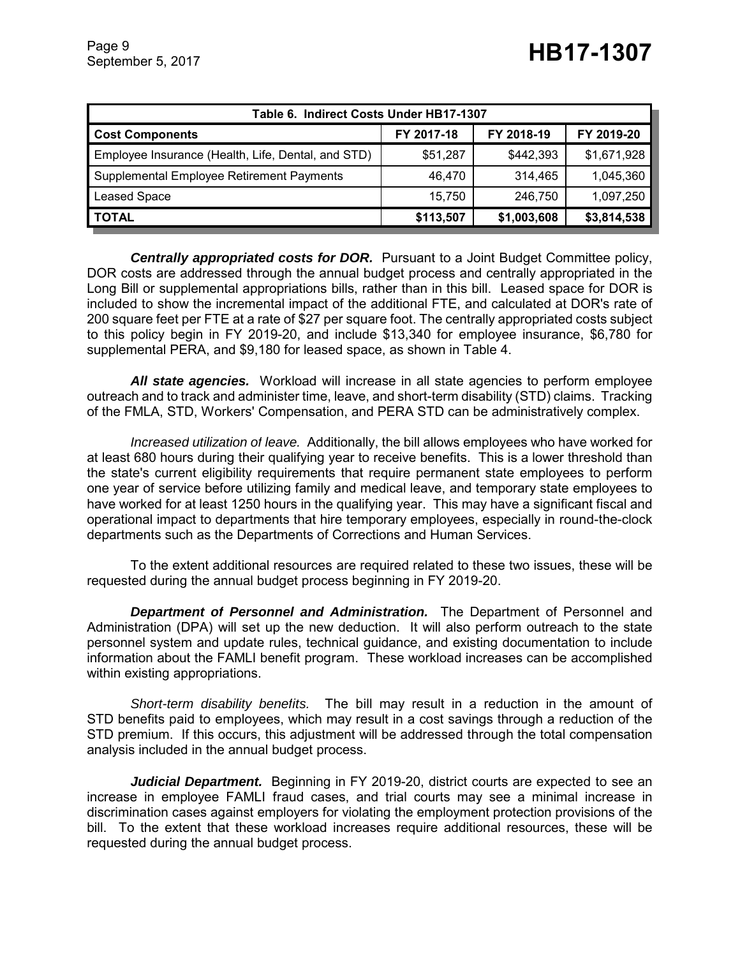| Table 6. Indirect Costs Under HB17-1307            |            |            |             |  |  |
|----------------------------------------------------|------------|------------|-------------|--|--|
| <b>Cost Components</b>                             | FY 2018-19 | FY 2019-20 |             |  |  |
| Employee Insurance (Health, Life, Dental, and STD) | \$51,287   | \$442,393  | \$1,671,928 |  |  |
| Supplemental Employee Retirement Payments          | 46,470     | 314.465    | 1,045,360   |  |  |
| Leased Space                                       | 15.750     | 246,750    | 1,097,250   |  |  |
| \$113,507<br>\$1,003,608<br><b>TOTAL</b>           |            |            |             |  |  |

*Centrally appropriated costs for DOR.* Pursuant to a Joint Budget Committee policy, DOR costs are addressed through the annual budget process and centrally appropriated in the Long Bill or supplemental appropriations bills, rather than in this bill. Leased space for DOR is included to show the incremental impact of the additional FTE, and calculated at DOR's rate of 200 square feet per FTE at a rate of \$27 per square foot. The centrally appropriated costs subject to this policy begin in FY 2019-20, and include \$13,340 for employee insurance, \$6,780 for supplemental PERA, and \$9,180 for leased space, as shown in Table 4.

*All state agencies.* Workload will increase in all state agencies to perform employee outreach and to track and administer time, leave, and short-term disability (STD) claims. Tracking of the FMLA, STD, Workers' Compensation, and PERA STD can be administratively complex.

*Increased utilization of leave.* Additionally, the bill allows employees who have worked for at least 680 hours during their qualifying year to receive benefits. This is a lower threshold than the state's current eligibility requirements that require permanent state employees to perform one year of service before utilizing family and medical leave, and temporary state employees to have worked for at least 1250 hours in the qualifying year. This may have a significant fiscal and operational impact to departments that hire temporary employees, especially in round-the-clock departments such as the Departments of Corrections and Human Services.

To the extent additional resources are required related to these two issues, these will be requested during the annual budget process beginning in FY 2019-20.

*Department of Personnel and Administration.* The Department of Personnel and Administration (DPA) will set up the new deduction. It will also perform outreach to the state personnel system and update rules, technical guidance, and existing documentation to include information about the FAMLI benefit program. These workload increases can be accomplished within existing appropriations.

*Short-term disability benefits.* The bill may result in a reduction in the amount of STD benefits paid to employees, which may result in a cost savings through a reduction of the STD premium. If this occurs, this adjustment will be addressed through the total compensation analysis included in the annual budget process.

*Judicial Department.* Beginning in FY 2019-20, district courts are expected to see an increase in employee FAMLI fraud cases, and trial courts may see a minimal increase in discrimination cases against employers for violating the employment protection provisions of the bill. To the extent that these workload increases require additional resources, these will be requested during the annual budget process.